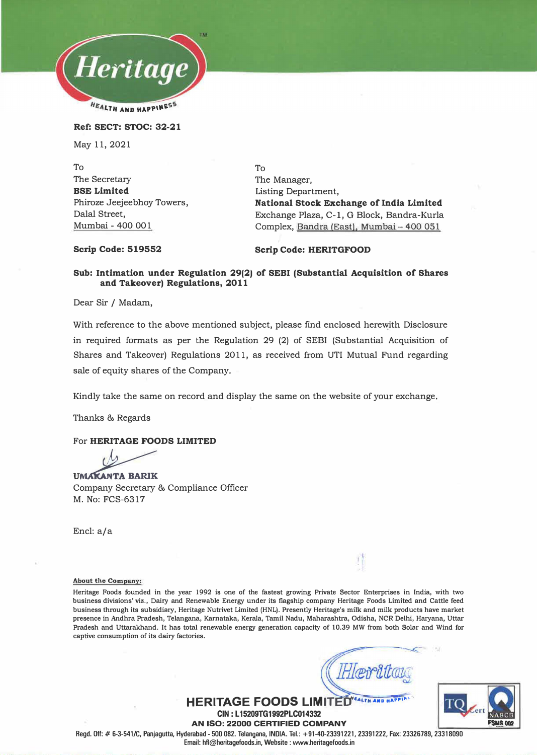

**Ref: SECT: STOC: 32-21** 

May 11, 2021

To The Secretary **BSE Limited**  Phiroze Jeejeebhoy Towers, Dalal Street, Mumbai - 400 001

To The Manager, Listing Department, **National Stock Exchange of India Limited** Exchange Plaza, C-1, G Block, Bandra-Kurla Complex, Bandra (East), Mumbai - 400 051

**Scrip Code: 519552** 

### **Scrip Code: HERITGFOOD**

## **Sub: Intimation under Regulation 29(2) of SEBI (Substantial Acquisition of Shares and Takeover) Regulations, 2011**

Dear Sir / Madam,

With reference to the above mentioned subject, please find enclosed herewith Disclosure in required formats as per the Regulation 29 (2) of SEBI (Substantial Acquisition of Shares and Takeover) Regulations 2011, as received from UTI Mutual Fund regarding sale of equity shares of the Company.

Kindly take the same on record and display the same on the website of your exchange.

Thanks & Regards

### For **HERITAGE FOODS LIMITED**

UMAKANTA BARIK Company Secretary & Compliance Officer **M.** No: FCS-631 7

Encl: a/a

### **About the Company!**

**Heritage Foods founded in the year 1992 is one of the fastest growing Private Sector Enterprises in India, with two business divisions' viz., Dairy and Renewable Energy under its flagship company Heritage Foods Limited and Cattle feed business through its subsidiary, Heritage Nutrivet Limited (HNL). Presently Heritage's milk and milk products have market presence in Andhra Pradesh, Telangana, Karnataka, Kerala, Tamil Nadu, Maharashtra, Odisha, NCR Delhi, Haryana, Uttar Pradesh and Uttarakhand. It has total renewable energy generation capacity of 10.39 MW from both Solar and Wind for captive consumption of its dairy factories.** 

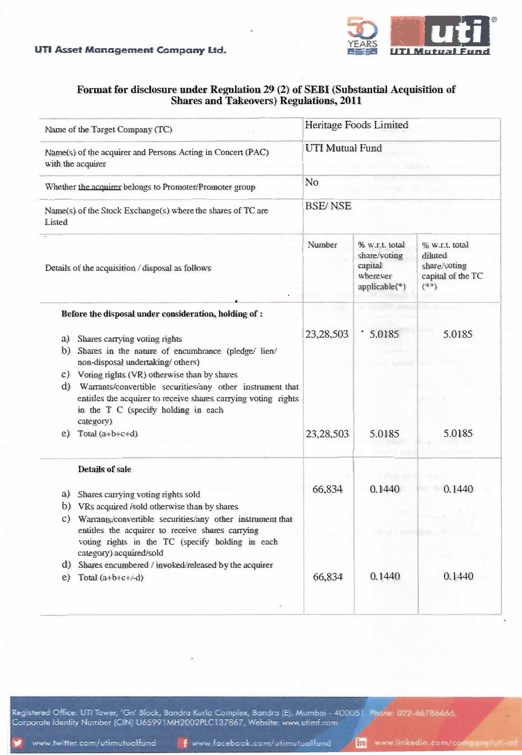UTI Asset Management Company Ltd.



# Format for disclosure under Regulation 29 (2) of SEBI (Substantial Acquisition of **Shares and Takeovers) Regulations, 2011**

| Name of the Target Company (TC)<br>Name(s) of the acquirer and Persons Acting in Concert (PAC)<br>with the acquirer<br>Whether the acquirer belongs to Promoter/Promoter group<br>Name(s) of the Stock Exchange(s) where the shares of TC are<br>Listed<br>Details of the acquisition / disposal as follows |                                                                                                                                                                                                                                                                                                                                                     | Heritage Foods Limited       |                                                                        |                                                                           |  |
|-------------------------------------------------------------------------------------------------------------------------------------------------------------------------------------------------------------------------------------------------------------------------------------------------------------|-----------------------------------------------------------------------------------------------------------------------------------------------------------------------------------------------------------------------------------------------------------------------------------------------------------------------------------------------------|------------------------------|------------------------------------------------------------------------|---------------------------------------------------------------------------|--|
|                                                                                                                                                                                                                                                                                                             |                                                                                                                                                                                                                                                                                                                                                     | <b>UTI Mutual Fund</b><br>No |                                                                        |                                                                           |  |
|                                                                                                                                                                                                                                                                                                             |                                                                                                                                                                                                                                                                                                                                                     |                              |                                                                        |                                                                           |  |
|                                                                                                                                                                                                                                                                                                             |                                                                                                                                                                                                                                                                                                                                                     | Number                       | % w.r.t. total<br>share/voting<br>capital<br>wherever<br>applicable(*) | % w.r.t. total<br>diluted<br>share/voting<br>capital of the TC<br>$(*:*)$ |  |
|                                                                                                                                                                                                                                                                                                             |                                                                                                                                                                                                                                                                                                                                                     |                              | Before the disposal under consideration, holding of :                  |                                                                           |  |
| a)<br>b)                                                                                                                                                                                                                                                                                                    | Shares carrying voting rights<br>Shares in the nature of encumbrance (pledge/ lien/<br>non-disposal undertaking/ others)<br>c) Voting rights (VR) otherwise than by shares<br>d) Warrants/convertible securities/any other instrument that<br>entitles the acquirer to receive shares carrying voting rights<br>in the T C (specify holding in each | 23,28,503                    | 5.0185                                                                 | 5.0185                                                                    |  |
| e)                                                                                                                                                                                                                                                                                                          | category)<br>Total $(a+b+c+d)$                                                                                                                                                                                                                                                                                                                      | 23,28,503                    | 5.0185                                                                 | 5.0185                                                                    |  |
|                                                                                                                                                                                                                                                                                                             | Details of sale                                                                                                                                                                                                                                                                                                                                     |                              |                                                                        |                                                                           |  |
| a)                                                                                                                                                                                                                                                                                                          | Shares carrying voting rights sold<br>b) VRs acquired <i>i</i> sold otherwise than by shares<br>c) Warrants/convertible securities/any other instrument that<br>entitles the acquirer to receive shares carrying                                                                                                                                    | 66,834                       | 0.1440                                                                 | 0.1440                                                                    |  |
|                                                                                                                                                                                                                                                                                                             | voting rights in the TC (specify holding in each<br>category) acquired/sold                                                                                                                                                                                                                                                                         |                              |                                                                        |                                                                           |  |
| e)                                                                                                                                                                                                                                                                                                          | d) Shares encumbered / invoked/released by the acquirer<br>Total $(a+b+c+/-d)$                                                                                                                                                                                                                                                                      | 66,834                       | 0.1440                                                                 | 0.1440                                                                    |  |
|                                                                                                                                                                                                                                                                                                             |                                                                                                                                                                                                                                                                                                                                                     |                              |                                                                        |                                                                           |  |

Registered Office: UTI Tower, 'Gn' Block, Bandra Kurla Complex, Bandra (E), Mumbai - 400051. Phone: 022-66786666,<br>Corporate Identity Number (CIN) U65991MH2002PLC137867, Website: www.utimf.com

In